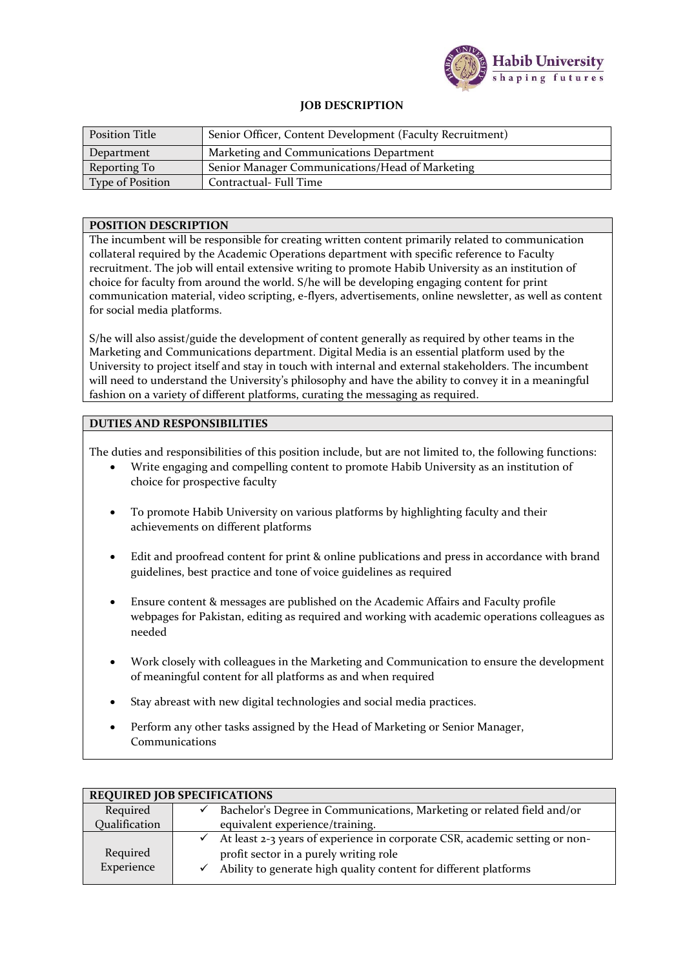

## **JOB DESCRIPTION**

| <b>Position Title</b> | Senior Officer, Content Development (Faculty Recruitment) |  |
|-----------------------|-----------------------------------------------------------|--|
| Department            | Marketing and Communications Department                   |  |
| Reporting To          | Senior Manager Communications/Head of Marketing           |  |
| Type of Position      | Contractual- Full Time                                    |  |

## **POSITION DESCRIPTION**

The incumbent will be responsible for creating written content primarily related to communication collateral required by the Academic Operations department with specific reference to Faculty recruitment. The job will entail extensive writing to promote Habib University as an institution of choice for faculty from around the world. S/he will be developing engaging content for print communication material, video scripting, e-flyers, advertisements, online newsletter, as well as content for social media platforms.

S/he will also assist/guide the development of content generally as required by other teams in the Marketing and Communications department. Digital Media is an essential platform used by the University to project itself and stay in touch with internal and external stakeholders. The incumbent will need to understand the University's philosophy and have the ability to convey it in a meaningful fashion on a variety of different platforms, curating the messaging as required.

## **DUTIES AND RESPONSIBILITIES**

The duties and responsibilities of this position include, but are not limited to, the following functions:

- Write engaging and compelling content to promote Habib University as an institution of choice for prospective faculty
- To promote Habib University on various platforms by highlighting faculty and their achievements on different platforms
- Edit and proofread content for print & online publications and press in accordance with brand guidelines, best practice and tone of voice guidelines as required
- Ensure content & messages are published on the Academic Affairs and Faculty profile webpages for Pakistan, editing as required and working with academic operations colleagues as needed
- Work closely with colleagues in the Marketing and Communication to ensure the development of meaningful content for all platforms as and when required
- Stay abreast with new digital technologies and social media practices.
- Perform any other tasks assigned by the Head of Marketing or Senior Manager, Communications

| <b>REQUIRED JOB SPECIFICATIONS</b> |                                                                             |  |  |
|------------------------------------|-----------------------------------------------------------------------------|--|--|
| Required                           | Bachelor's Degree in Communications, Marketing or related field and/or      |  |  |
| Qualification                      | equivalent experience/training.                                             |  |  |
|                                    | At least 2-3 years of experience in corporate CSR, academic setting or non- |  |  |
| Required                           | profit sector in a purely writing role                                      |  |  |
| Experience                         | Ability to generate high quality content for different platforms            |  |  |